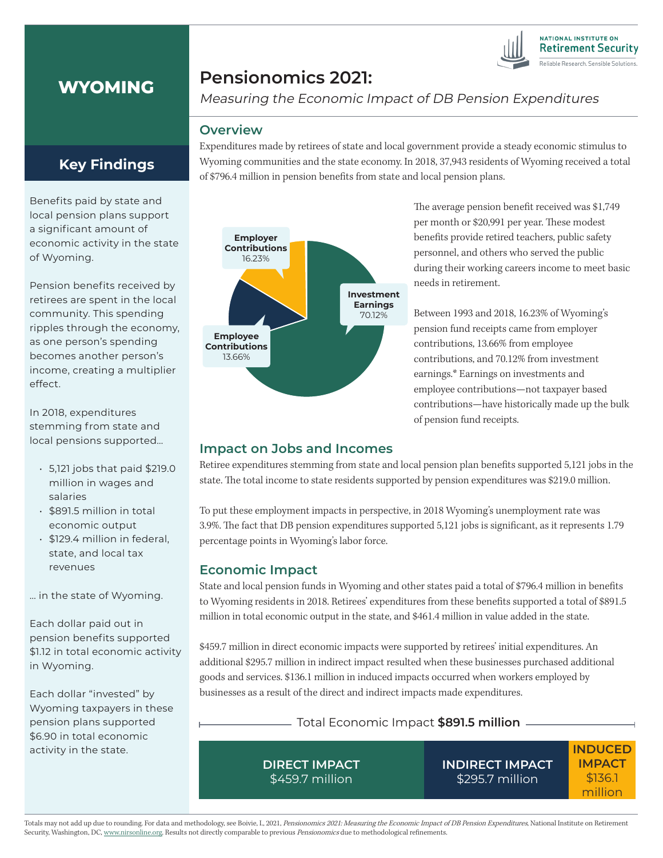

# **WYOMING**

## **Pensionomics 2021:**

Measuring the Economic Impact of DB Pension Expenditures

#### **Overview**

Expenditures made by retirees of state and local government provide a steady economic stimulus to Wyoming communities and the state economy. In 2018, 37,943 residents of Wyoming received a total of \$796.4 million in pension benefits from state and local pension plans.



The average pension benefit received was \$1,749 per month or \$20,991 per year. These modest benefits provide retired teachers, public safety personnel, and others who served the public during their working careers income to meet basic needs in retirement.

Between 1993 and 2018, 16.23% of Wyoming's pension fund receipts came from employer contributions, 13.66% from employee contributions, and 70.12% from investment earnings.\* Earnings on investments and employee contributions—not taxpayer based contributions—have historically made up the bulk of pension fund receipts.

### **Impact on Jobs and Incomes**

Retiree expenditures stemming from state and local pension plan benefits supported 5,121 jobs in the state. The total income to state residents supported by pension expenditures was \$219.0 million.

To put these employment impacts in perspective, in 2018 Wyoming's unemployment rate was 3.9%. The fact that DB pension expenditures supported 5,121 jobs is significant, as it represents 1.79 percentage points in Wyoming's labor force.

### **Economic Impact**

State and local pension funds in Wyoming and other states paid a total of \$796.4 million in benefits to Wyoming residents in 2018. Retirees' expenditures from these benefits supported a total of \$891.5 million in total economic output in the state, and \$461.4 million in value added in the state.

\$459.7 million in direct economic impacts were supported by retirees' initial expenditures. An additional \$295.7 million in indirect impact resulted when these businesses purchased additional goods and services. \$136.1 million in induced impacts occurred when workers employed by businesses as a result of the direct and indirect impacts made expenditures.

### Total Economic Impact **\$891.5 million**

**DIRECT IMPACT** \$459.7 million

**INDIRECT IMPACT** \$295.7 million

**INDUCED IMPACT** \$136.1 million

Totals may not add up due to rounding. For data and methodology, see Boivie, I., 2021, Pensionomics 2021: Measuring the Economic Impact of DB Pension Expenditures, National Institute on Retirement Security, Washington, DC, www.nirsonline.org. Results not directly comparable to previous Pensionomics due to methodological refinements.

## **Key Findings**

Benefits paid by state and local pension plans support a significant amount of economic activity in the state of Wyoming.

Pension benefits received by retirees are spent in the local community. This spending ripples through the economy, as one person's spending becomes another person's income, creating a multiplier effect.

In 2018, expenditures stemming from state and local pensions supported…

- 5,121 jobs that paid \$219.0 million in wages and salaries
- \$891.5 million in total economic output
- \$129.4 million in federal, state, and local tax revenues

… in the state of Wyoming.

Each dollar paid out in pension benefits supported \$1.12 in total economic activity in Wyoming.

Each dollar "invested" by Wyoming taxpayers in these pension plans supported \$6.90 in total economic activity in the state.